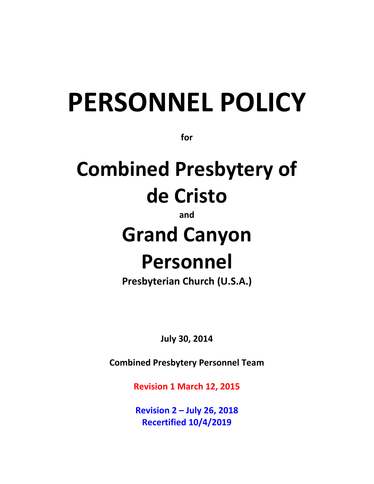# **PERSONNEL POLICY**

**for**

## **Combined Presbytery of de Cristo**

**and**

## **Grand Canyon Personnel**

**Presbyterian Church (U.S.A.)**

**July 30, 2014**

**Combined Presbytery Personnel Team**

**Revision 1 March 12, 2015**

**Revision 2 – July 26, 2018 Recertified 10/4/2019**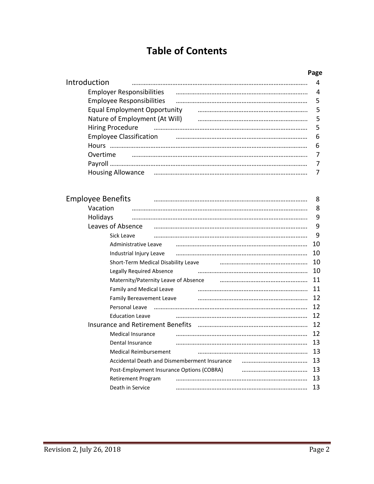## **Table of Contents**

#### **Page**

| Introduction                        | 4                       |
|-------------------------------------|-------------------------|
| <b>Employer Responsibilities</b>    | $\overline{\mathbf{4}}$ |
| <b>Employee Responsibilities</b>    | - 5                     |
| <b>Equal Employment Opportunity</b> | - 5                     |
| Nature of Employment (At Will)      | - 5                     |
| Hiring Procedure                    | - 5                     |
| <b>Employee Classification</b>      | 6                       |
|                                     | -6                      |
| Overtime                            | -7                      |
|                                     | 7                       |
| <b>Housing Allowance</b>            |                         |
|                                     |                         |

| <b>Employee Benefits</b>                     | 8  |
|----------------------------------------------|----|
| Vacation                                     | 8  |
| Holidays                                     | 9  |
| Leaves of Absence                            | 9  |
| Sick Leave                                   | 9  |
| Administrative Leave                         | 10 |
| Industrial Injury Leave                      | 10 |
| Short-Term Medical Disability Leave          | 10 |
| <b>Legally Required Absence</b>              | 10 |
| Maternity/Paternity Leave of Absence         | 11 |
| Family and Medical Leave                     | 11 |
| Family Bereavement Leave                     | 12 |
| Personal Leave                               | 12 |
| <b>Education Leave</b>                       | 12 |
| Insurance and Retirement Benefits            | 12 |
| <b>Medical Insurance</b>                     | 12 |
| Dental Insurance                             | 13 |
| <b>Medical Reimbursement</b>                 | 13 |
| Accidental Death and Dismemberment Insurance | 13 |
| Post-Employment Insurance Options (COBRA)    | 13 |
| Retirement Program                           | 13 |
| Death in Service                             | 13 |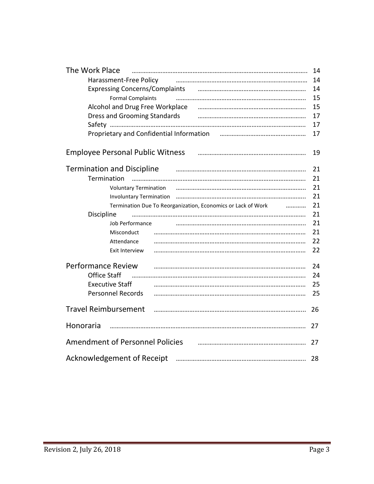| The Work Place                                                                                                          | 14 |  |
|-------------------------------------------------------------------------------------------------------------------------|----|--|
| Harassment-Free Policy                                                                                                  | 14 |  |
| Expressing Concerns/Complaints [100] [2010] Expressing Concerns/Complaints [100] [100] [100] [100] [100] [100]          | 14 |  |
| <b>Formal Complaints</b>                                                                                                | 15 |  |
|                                                                                                                         | 15 |  |
| Dress and Grooming Standards <b>Constanting Constanting Constanting Constanting Constanting Constanting Constanting</b> | 17 |  |
|                                                                                                                         | 17 |  |
| Proprietary and Confidential Information Farman Constitution Construction Constant                                      | 17 |  |
| <b>Employee Personal Public Witness</b>                                                                                 | 19 |  |
| <b>Termination and Discipline</b>                                                                                       | 21 |  |
| Termination                                                                                                             | 21 |  |
| <b>Voluntary Termination</b>                                                                                            | 21 |  |
|                                                                                                                         | 21 |  |
| Termination Due To Reorganization, Economics or Lack of Work                                                            | 21 |  |
| Discipline                                                                                                              | 21 |  |
| Job Performance                                                                                                         | 21 |  |
| Misconduct                                                                                                              | 21 |  |
| Attendance                                                                                                              | 22 |  |
| Exit Interview                                                                                                          | 22 |  |
| <b>Performance Review</b>                                                                                               | 24 |  |
| <b>Office Staff</b>                                                                                                     | 24 |  |
| <b>Executive Staff</b>                                                                                                  | 25 |  |
| <b>Personnel Records</b>                                                                                                | 25 |  |
| <b>Travel Reimbursement</b>                                                                                             | 26 |  |
| Honoraria                                                                                                               | 27 |  |
| <b>Amendment of Personnel Policies</b>                                                                                  |    |  |
| <b>Acknowledgement of Receipt</b>                                                                                       | 28 |  |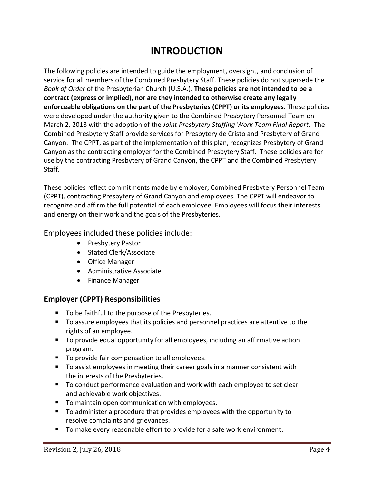## **INTRODUCTION**

The following policies are intended to guide the employment, oversight, and conclusion of service for all members of the Combined Presbytery Staff. These policies do not supersede the *Book of Order* of the Presbyterian Church (U.S.A.). **These policies are not intended to be a contract (express or implied), nor are they intended to otherwise create any legally enforceable obligations on the part of the Presbyteries (CPPT) or its employees**. These policies were developed under the authority given to the Combined Presbytery Personnel Team on March 2, 2013 with the adoption of the *Joint Presbytery Staffing Work Team Final Report.* The Combined Presbytery Staff provide services for Presbytery de Cristo and Presbytery of Grand Canyon. The CPPT, as part of the implementation of this plan, recognizes Presbytery of Grand Canyon as the contracting employer for the Combined Presbytery Staff. These policies are for use by the contracting Presbytery of Grand Canyon, the CPPT and the Combined Presbytery Staff.

These policies reflect commitments made by employer; Combined Presbytery Personnel Team (CPPT), contracting Presbytery of Grand Canyon and employees. The CPPT will endeavor to recognize and affirm the full potential of each employee. Employees will focus their interests and energy on their work and the goals of the Presbyteries.

Employees included these policies include:

- Presbytery Pastor
- Stated Clerk/Associate
- Office Manager
- Administrative Associate
- Finance Manager

#### **Employer (CPPT) Responsibilities**

- To be faithful to the purpose of the Presbyteries.
- To assure employees that its policies and personnel practices are attentive to the rights of an employee.
- To provide equal opportunity for all employees, including an affirmative action program.
- To provide fair compensation to all employees.
- To assist employees in meeting their career goals in a manner consistent with the interests of the Presbyteries.
- To conduct performance evaluation and work with each employee to set clear and achievable work objectives.
- To maintain open communication with employees.
- To administer a procedure that provides employees with the opportunity to resolve complaints and grievances.
- To make every reasonable effort to provide for a safe work environment.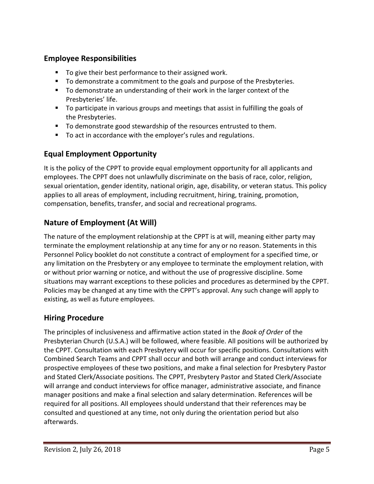#### **Employee Responsibilities**

- To give their best performance to their assigned work.
- To demonstrate a commitment to the goals and purpose of the Presbyteries.
- To demonstrate an understanding of their work in the larger context of the Presbyteries' life.
- To participate in various groups and meetings that assist in fulfilling the goals of the Presbyteries.
- To demonstrate good stewardship of the resources entrusted to them.
- To act in accordance with the employer's rules and regulations.

#### **Equal Employment Opportunity**

It is the policy of the CPPT to provide equal employment opportunity for all applicants and employees. The CPPT does not unlawfully discriminate on the basis of race, color, religion, sexual orientation, gender identity, national origin, age, disability, or veteran status. This policy applies to all areas of employment, including recruitment, hiring, training, promotion, compensation, benefits, transfer, and social and recreational programs.

#### **Nature of Employment (At Will)**

The nature of the employment relationship at the CPPT is at will, meaning either party may terminate the employment relationship at any time for any or no reason. Statements in this Personnel Policy booklet do not constitute a contract of employment for a specified time, or any limitation on the Presbytery or any employee to terminate the employment relation, with or without prior warning or notice, and without the use of progressive discipline. Some situations may warrant exceptions to these policies and procedures as determined by the CPPT. Policies may be changed at any time with the CPPT's approval. Any such change will apply to existing, as well as future employees.

#### **Hiring Procedure**

The principles of inclusiveness and affirmative action stated in the *Book of Order* of the Presbyterian Church (U.S.A.) will be followed, where feasible. All positions will be authorized by the CPPT. Consultation with each Presbytery will occur for specific positions. Consultations with Combined Search Teams and CPPT shall occur and both will arrange and conduct interviews for prospective employees of these two positions, and make a final selection for Presbytery Pastor and Stated Clerk/Associate positions. The CPPT, Presbytery Pastor and Stated Clerk/Associate will arrange and conduct interviews for office manager, administrative associate, and finance manager positions and make a final selection and salary determination. References will be required for all positions. All employees should understand that their references may be consulted and questioned at any time, not only during the orientation period but also afterwards.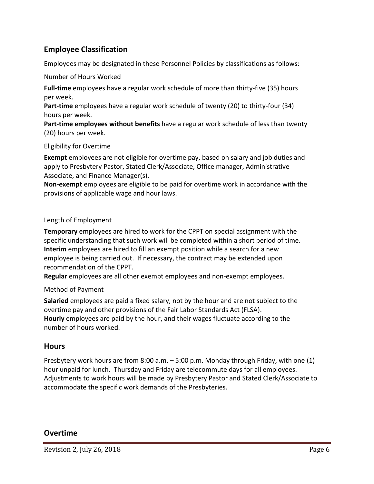#### **Employee Classification**

Employees may be designated in these Personnel Policies by classifications as follows:

Number of Hours Worked

**Full-time** employees have a regular work schedule of more than thirty-five (35) hours per week.

**Part-time** employees have a regular work schedule of twenty (20) to thirty-four (34) hours per week.

**Part-time employees without benefits** have a regular work schedule of less than twenty (20) hours per week.

#### Eligibility for Overtime

**Exempt** employees are not eligible for overtime pay, based on salary and job duties and apply to Presbytery Pastor, Stated Clerk/Associate, Office manager, Administrative Associate, and Finance Manager(s).

**Non-exempt** employees are eligible to be paid for overtime work in accordance with the provisions of applicable wage and hour laws.

#### Length of Employment

**Temporary** employees are hired to work for the CPPT on special assignment with the specific understanding that such work will be completed within a short period of time. **Interim** employees are hired to fill an exempt position while a search for a new employee is being carried out. If necessary, the contract may be extended upon recommendation of the CPPT.

**Regular** employees are all other exempt employees and non-exempt employees.

#### Method of Payment

**Salaried** employees are paid a fixed salary, not by the hour and are not subject to the overtime pay and other provisions of the Fair Labor Standards Act (FLSA). **Hourly** employees are paid by the hour, and their wages fluctuate according to the number of hours worked.

#### **Hours**

Presbytery work hours are from 8:00 a.m. – 5:00 p.m. Monday through Friday, with one (1) hour unpaid for lunch. Thursday and Friday are telecommute days for all employees. Adjustments to work hours will be made by Presbytery Pastor and Stated Clerk/Associate to accommodate the specific work demands of the Presbyteries.

#### **Overtime**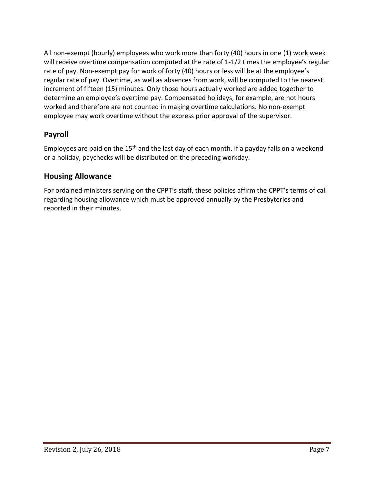All non-exempt (hourly) employees who work more than forty (40) hours in one (1) work week will receive overtime compensation computed at the rate of 1-1/2 times the employee's regular rate of pay. Non-exempt pay for work of forty (40) hours or less will be at the employee's regular rate of pay. Overtime, as well as absences from work, will be computed to the nearest increment of fifteen (15) minutes. Only those hours actually worked are added together to determine an employee's overtime pay. Compensated holidays, for example, are not hours worked and therefore are not counted in making overtime calculations. No non-exempt employee may work overtime without the express prior approval of the supervisor.

#### **Payroll**

Employees are paid on the 15<sup>th</sup> and the last day of each month. If a payday falls on a weekend or a holiday, paychecks will be distributed on the preceding workday.

#### **Housing Allowance**

For ordained ministers serving on the CPPT's staff, these policies affirm the CPPT's terms of call regarding housing allowance which must be approved annually by the Presbyteries and reported in their minutes.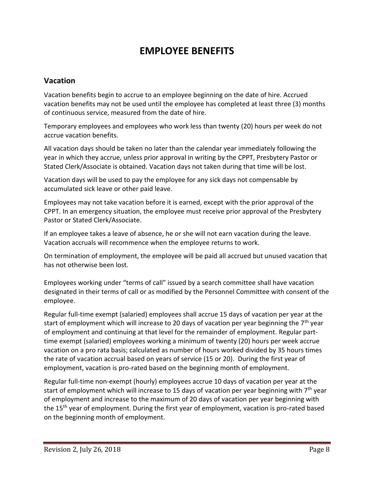## **EMPLOYEE BENEFITS**

#### **Vacation**

Vacation benefits begin to accrue to an employee beginning on the date of hire. Accrued vacation benefits may not be used until the employee has completed at least three (3) months of continuous service, measured from the date of hire.

Temporary employees and employees who work less than twenty (20) hours per week do not accrue vacation benefits.

All vacation days should be taken no later than the calendar year immediately following the year in which they accrue, unless prior approval in writing by the CPPT, Presbytery Pastor or Stated Clerk/Associate is obtained. Vacation days not taken during that time will be lost.

Vacation days will be used to pay the employee for any sick days not compensable by accumulated sick leave or other paid leave.

Employees may not take vacation before it is earned, except with the prior approval of the CPPT. In an emergency situation, the employee must receive prior approval of the Presbytery Pastor or Stated Clerk/Associate.

If an employee takes a leave of absence, he or she will not earn vacation during the leave. Vacation accruals will recommence when the employee returns to work.

On termination of employment, the employee will be paid all accrued but unused vacation that has not otherwise been lost.

Employees working under "terms of call" issued by a search committee shall have vacation designated in their terms of call or as modified by the Personnel Committee with consent of the employee.

Regular full-time exempt (salaried) employees shall accrue 15 days of vacation per year at the start of employment which will increase to 20 days of vacation per year beginning the  $7<sup>th</sup>$  year of employment and continuing at that level for the remainder of employment. Regular parttime exempt (salaried) employees working a minimum of twenty (20) hours per week accrue vacation on a pro rata basis; calculated as number of hours worked divided by 35 hours times the rate of vacation accrual based on years of service (15 or 20). During the first year of employment, vacation is pro-rated based on the beginning month of employment.

Regular full-time non-exempt (hourly) employees accrue 10 days of vacation per year at the start of employment which will increase to 15 days of vacation per year beginning with  $7<sup>th</sup>$  year of employment and increase to the maximum of 20 days of vacation per year beginning with the 15<sup>th</sup> year of employment. During the first year of employment, vacation is pro-rated based on the beginning month of employment.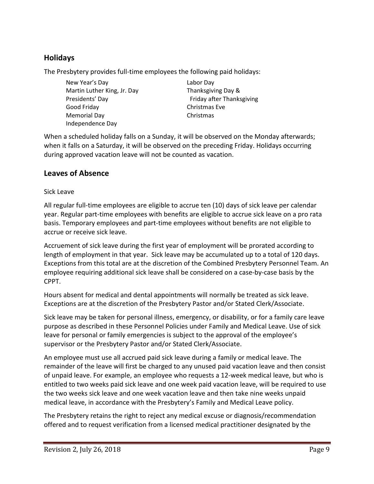#### **Holidays**

The Presbytery provides full-time employees the following paid holidays:

New Year's Day Martin Luther King, Jr. Day Presidents' Day Good Friday Memorial Day Independence Day

Labor Day Thanksgiving Day & Friday after Thanksgiving Christmas Eve Christmas

When a scheduled holiday falls on a Sunday, it will be observed on the Monday afterwards; when it falls on a Saturday, it will be observed on the preceding Friday. Holidays occurring during approved vacation leave will not be counted as vacation.

#### **Leaves of Absence**

#### Sick Leave

All regular full-time employees are eligible to accrue ten (10) days of sick leave per calendar year. Regular part-time employees with benefits are eligible to accrue sick leave on a pro rata basis. Temporary employees and part-time employees without benefits are not eligible to accrue or receive sick leave.

Accruement of sick leave during the first year of employment will be prorated according to length of employment in that year. Sick leave may be accumulated up to a total of 120 days. Exceptions from this total are at the discretion of the Combined Presbytery Personnel Team. An employee requiring additional sick leave shall be considered on a case-by-case basis by the CPPT.

Hours absent for medical and dental appointments will normally be treated as sick leave. Exceptions are at the discretion of the Presbytery Pastor and/or Stated Clerk/Associate.

Sick leave may be taken for personal illness, emergency, or disability, or for a family care leave purpose as described in these Personnel Policies under Family and Medical Leave. Use of sick leave for personal or family emergencies is subject to the approval of the employee's supervisor or the Presbytery Pastor and/or Stated Clerk/Associate.

An employee must use all accrued paid sick leave during a family or medical leave. The remainder of the leave will first be charged to any unused paid vacation leave and then consist of unpaid leave. For example, an employee who requests a 12-week medical leave, but who is entitled to two weeks paid sick leave and one week paid vacation leave, will be required to use the two weeks sick leave and one week vacation leave and then take nine weeks unpaid medical leave, in accordance with the Presbytery's Family and Medical Leave policy.

The Presbytery retains the right to reject any medical excuse or diagnosis/recommendation offered and to request verification from a licensed medical practitioner designated by the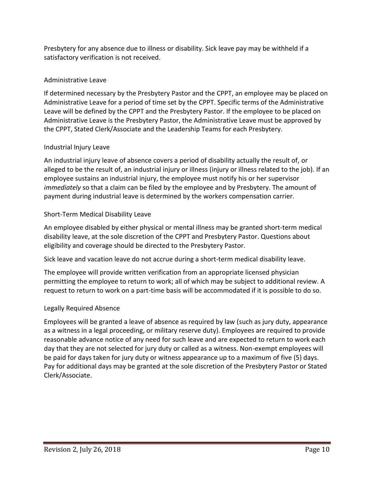Presbytery for any absence due to illness or disability. Sick leave pay may be withheld if a satisfactory verification is not received.

#### Administrative Leave

If determined necessary by the Presbytery Pastor and the CPPT, an employee may be placed on Administrative Leave for a period of time set by the CPPT. Specific terms of the Administrative Leave will be defined by the CPPT and the Presbytery Pastor. If the employee to be placed on Administrative Leave is the Presbytery Pastor, the Administrative Leave must be approved by the CPPT, Stated Clerk/Associate and the Leadership Teams for each Presbytery.

#### Industrial Injury Leave

An industrial injury leave of absence covers a period of disability actually the result of, or alleged to be the result of, an industrial injury or illness (injury or illness related to the job). If an employee sustains an industrial injury, the employee must notify his or her supervisor *immediately* so that a claim can be filed by the employee and by Presbytery. The amount of payment during industrial leave is determined by the workers compensation carrier.

#### Short-Term Medical Disability Leave

An employee disabled by either physical or mental illness may be granted short-term medical disability leave, at the sole discretion of the CPPT and Presbytery Pastor. Questions about eligibility and coverage should be directed to the Presbytery Pastor.

Sick leave and vacation leave do not accrue during a short-term medical disability leave.

The employee will provide written verification from an appropriate licensed physician permitting the employee to return to work; all of which may be subject to additional review. A request to return to work on a part-time basis will be accommodated if it is possible to do so.

#### Legally Required Absence

Employees will be granted a leave of absence as required by law (such as jury duty, appearance as a witness in a legal proceeding, or military reserve duty). Employees are required to provide reasonable advance notice of any need for such leave and are expected to return to work each day that they are not selected for jury duty or called as a witness. Non-exempt employees will be paid for days taken for jury duty or witness appearance up to a maximum of five (5) days. Pay for additional days may be granted at the sole discretion of the Presbytery Pastor or Stated Clerk/Associate.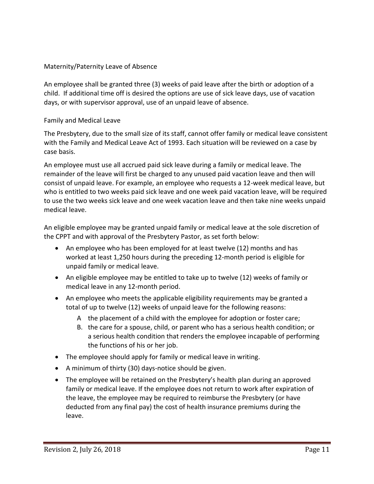#### Maternity/Paternity Leave of Absence

An employee shall be granted three (3) weeks of paid leave after the birth or adoption of a child. If additional time off is desired the options are use of sick leave days, use of vacation days, or with supervisor approval, use of an unpaid leave of absence.

#### Family and Medical Leave

The Presbytery, due to the small size of its staff, cannot offer family or medical leave consistent with the Family and Medical Leave Act of 1993. Each situation will be reviewed on a case by case basis.

An employee must use all accrued paid sick leave during a family or medical leave. The remainder of the leave will first be charged to any unused paid vacation leave and then will consist of unpaid leave. For example, an employee who requests a 12-week medical leave, but who is entitled to two weeks paid sick leave and one week paid vacation leave, will be required to use the two weeks sick leave and one week vacation leave and then take nine weeks unpaid medical leave.

An eligible employee may be granted unpaid family or medical leave at the sole discretion of the CPPT and with approval of the Presbytery Pastor, as set forth below:

- An employee who has been employed for at least twelve (12) months and has worked at least 1,250 hours during the preceding 12-month period is eligible for unpaid family or medical leave.
- An eligible employee may be entitled to take up to twelve (12) weeks of family or medical leave in any 12-month period.
- An employee who meets the applicable eligibility requirements may be granted a total of up to twelve (12) weeks of unpaid leave for the following reasons:
	- A the placement of a child with the employee for adoption or foster care;
	- B. the care for a spouse, child, or parent who has a serious health condition; or a serious health condition that renders the employee incapable of performing the functions of his or her job.
- The employee should apply for family or medical leave in writing.
- A minimum of thirty (30) days-notice should be given.
- The employee will be retained on the Presbytery's health plan during an approved family or medical leave. If the employee does not return to work after expiration of the leave, the employee may be required to reimburse the Presbytery (or have deducted from any final pay) the cost of health insurance premiums during the leave.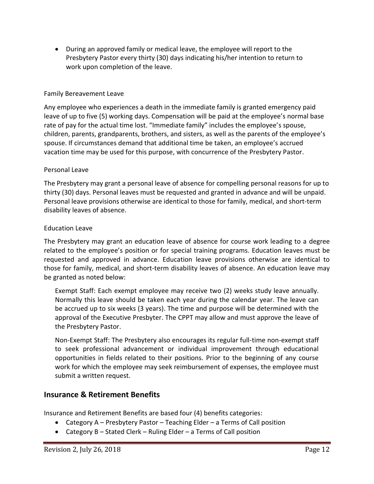• During an approved family or medical leave, the employee will report to the Presbytery Pastor every thirty (30) days indicating his/her intention to return to work upon completion of the leave.

#### Family Bereavement Leave

Any employee who experiences a death in the immediate family is granted emergency paid leave of up to five (5) working days. Compensation will be paid at the employee's normal base rate of pay for the actual time lost. "Immediate family" includes the employee's spouse, children, parents, grandparents, brothers, and sisters, as well as the parents of the employee's spouse. If circumstances demand that additional time be taken, an employee's accrued vacation time may be used for this purpose, with concurrence of the Presbytery Pastor.

#### Personal Leave

The Presbytery may grant a personal leave of absence for compelling personal reasons for up to thirty (30) days. Personal leaves must be requested and granted in advance and will be unpaid. Personal leave provisions otherwise are identical to those for family, medical, and short-term disability leaves of absence.

#### Education Leave

The Presbytery may grant an education leave of absence for course work leading to a degree related to the employee's position or for special training programs. Education leaves must be requested and approved in advance. Education leave provisions otherwise are identical to those for family, medical, and short-term disability leaves of absence. An education leave may be granted as noted below:

Exempt Staff: Each exempt employee may receive two (2) weeks study leave annually. Normally this leave should be taken each year during the calendar year. The leave can be accrued up to six weeks (3 years). The time and purpose will be determined with the approval of the Executive Presbyter. The CPPT may allow and must approve the leave of the Presbytery Pastor.

Non-Exempt Staff: The Presbytery also encourages its regular full-time non-exempt staff to seek professional advancement or individual improvement through educational opportunities in fields related to their positions. Prior to the beginning of any course work for which the employee may seek reimbursement of expenses, the employee must submit a written request.

#### **Insurance & Retirement Benefits**

Insurance and Retirement Benefits are based four (4) benefits categories:

- Category A Presbytery Pastor Teaching Elder a Terms of Call position
- Category B Stated Clerk Ruling Elder a Terms of Call position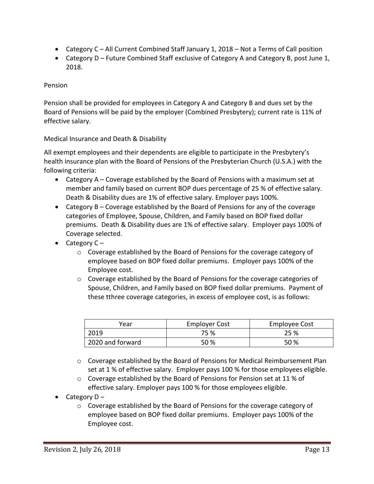- Category C All Current Combined Staff January 1, 2018 Not a Terms of Call position
- Category D Future Combined Staff exclusive of Category A and Category B, post June 1, 2018.

#### Pension

Pension shall be provided for employees in Category A and Category B and dues set by the Board of Pensions will be paid by the employer (Combined Presbytery); current rate is 11% of effective salary.

#### Medical Insurance and Death & Disability

All exempt employees and their dependents are eligible to participate in the Presbytery's health insurance plan with the Board of Pensions of the Presbyterian Church (U.S.A.) with the following criteria:

- Category A Coverage established by the Board of Pensions with a maximum set at member and family based on current BOP dues percentage of 25 % of effective salary. Death & Disability dues are 1% of effective salary. Employer pays 100%.
- Category B Coverage established by the Board of Pensions for any of the coverage categories of Employee, Spouse, Children, and Family based on BOP fixed dollar premiums. Death & Disability dues are 1% of effective salary. Employer pays 100% of Coverage selected.
- Category  $C$ 
	- o Coverage established by the Board of Pensions for the coverage category of employee based on BOP fixed dollar premiums. Employer pays 100% of the Employee cost.
	- o Coverage established by the Board of Pensions for the coverage categories of Spouse, Children, and Family based on BOP fixed dollar premiums. Payment of these tthree coverage categories, in excess of employee cost, is as follows:

| Year             | <b>Employer Cost</b> | Employee Cost |
|------------------|----------------------|---------------|
| 2019             | 75 %                 | 25 %          |
| 2020 and forward | 50%                  | .50 %         |

- $\circ$  Coverage established by the Board of Pensions for Medical Reimbursement Plan set at 1 % of effective salary. Employer pays 100 % for those employees eligible.
- $\circ$  Coverage established by the Board of Pensions for Pension set at 11 % of effective salary. Employer pays 100 % for those employees eligible.
- Category  $D$ 
	- o Coverage established by the Board of Pensions for the coverage category of employee based on BOP fixed dollar premiums. Employer pays 100% of the Employee cost.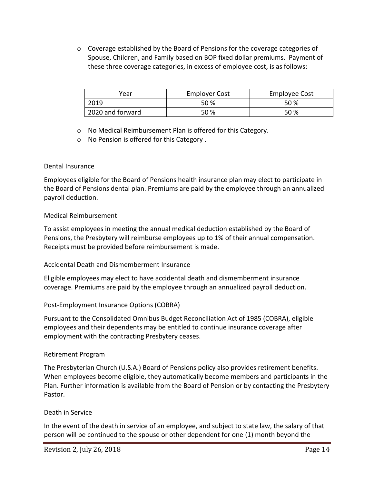o Coverage established by the Board of Pensions for the coverage categories of Spouse, Children, and Family based on BOP fixed dollar premiums. Payment of these three coverage categories, in excess of employee cost, is as follows:

| Year             | <b>Employer Cost</b> | Employee Cost |
|------------------|----------------------|---------------|
| 2019             | 50 %                 | 50 %          |
| 2020 and forward | 50 %                 | 50 %          |

o No Medical Reimbursement Plan is offered for this Category.

o No Pension is offered for this Category .

#### Dental Insurance

Employees eligible for the Board of Pensions health insurance plan may elect to participate in the Board of Pensions dental plan. Premiums are paid by the employee through an annualized payroll deduction.

#### Medical Reimbursement

To assist employees in meeting the annual medical deduction established by the Board of Pensions, the Presbytery will reimburse employees up to 1% of their annual compensation. Receipts must be provided before reimbursement is made.

#### Accidental Death and Dismemberment Insurance

Eligible employees may elect to have accidental death and dismemberment insurance coverage. Premiums are paid by the employee through an annualized payroll deduction.

#### Post-Employment Insurance Options (COBRA)

Pursuant to the Consolidated Omnibus Budget Reconciliation Act of 1985 (COBRA), eligible employees and their dependents may be entitled to continue insurance coverage after employment with the contracting Presbytery ceases.

#### Retirement Program

The Presbyterian Church (U.S.A.) Board of Pensions policy also provides retirement benefits. When employees become eligible, they automatically become members and participants in the Plan. Further information is available from the Board of Pension or by contacting the Presbytery Pastor.

#### Death in Service

In the event of the death in service of an employee, and subject to state law, the salary of that person will be continued to the spouse or other dependent for one (1) month beyond the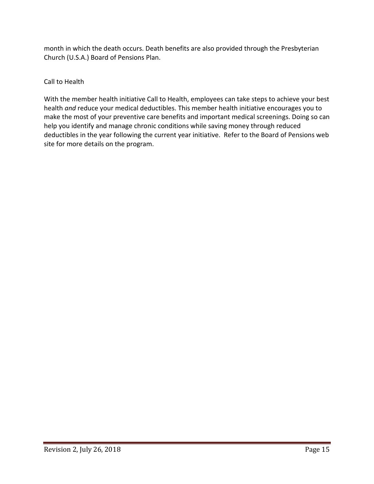month in which the death occurs. Death benefits are also provided through the Presbyterian Church (U.S.A.) Board of Pensions Plan.

#### Call to Health

With the member health initiative Call to Health, employees can take steps to achieve your best health *and* reduce your medical deductibles. This member health initiative encourages you to make the most of your preventive care benefits and important medical screenings. Doing so can help you identify and manage chronic conditions while saving money through reduced deductibles in the year following the current year initiative. Refer to the Board of Pensions web site for more details on the program.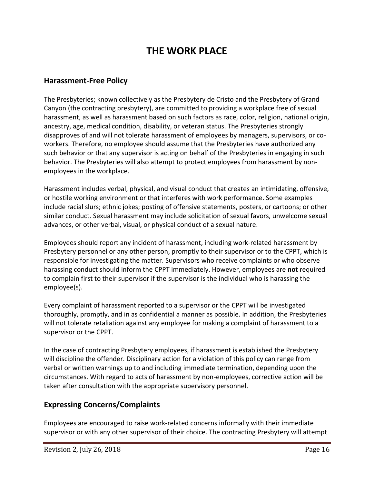## **THE WORK PLACE**

#### **Harassment-Free Policy**

The Presbyteries; known collectively as the Presbytery de Cristo and the Presbytery of Grand Canyon (the contracting presbytery), are committed to providing a workplace free of sexual harassment, as well as harassment based on such factors as race, color, religion, national origin, ancestry, age, medical condition, disability, or veteran status. The Presbyteries strongly disapproves of and will not tolerate harassment of employees by managers, supervisors, or coworkers. Therefore, no employee should assume that the Presbyteries have authorized any such behavior or that any supervisor is acting on behalf of the Presbyteries in engaging in such behavior. The Presbyteries will also attempt to protect employees from harassment by nonemployees in the workplace.

Harassment includes verbal, physical, and visual conduct that creates an intimidating, offensive, or hostile working environment or that interferes with work performance. Some examples include racial slurs; ethnic jokes; posting of offensive statements, posters, or cartoons; or other similar conduct. Sexual harassment may include solicitation of sexual favors, unwelcome sexual advances, or other verbal, visual, or physical conduct of a sexual nature.

Employees should report any incident of harassment, including work-related harassment by Presbytery personnel or any other person, promptly to their supervisor or to the CPPT, which is responsible for investigating the matter. Supervisors who receive complaints or who observe harassing conduct should inform the CPPT immediately. However, employees are **not** required to complain first to their supervisor if the supervisor is the individual who is harassing the employee(s).

Every complaint of harassment reported to a supervisor or the CPPT will be investigated thoroughly, promptly, and in as confidential a manner as possible. In addition, the Presbyteries will not tolerate retaliation against any employee for making a complaint of harassment to a supervisor or the CPPT.

In the case of contracting Presbytery employees, if harassment is established the Presbytery will discipline the offender. Disciplinary action for a violation of this policy can range from verbal or written warnings up to and including immediate termination, depending upon the circumstances. With regard to acts of harassment by non-employees, corrective action will be taken after consultation with the appropriate supervisory personnel.

#### **Expressing Concerns/Complaints**

Employees are encouraged to raise work-related concerns informally with their immediate supervisor or with any other supervisor of their choice. The contracting Presbytery will attempt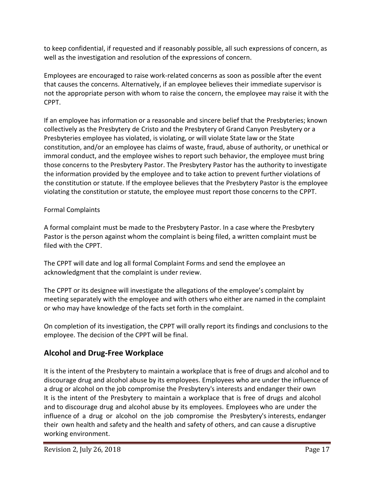to keep confidential, if requested and if reasonably possible, all such expressions of concern, as well as the investigation and resolution of the expressions of concern.

Employees are encouraged to raise work-related concerns as soon as possible after the event that causes the concerns. Alternatively, if an employee believes their immediate supervisor is not the appropriate person with whom to raise the concern, the employee may raise it with the CPPT.

If an employee has information or a reasonable and sincere belief that the Presbyteries; known collectively as the Presbytery de Cristo and the Presbytery of Grand Canyon Presbytery or a Presbyteries employee has violated, is violating, or will violate State law or the State constitution, and/or an employee has claims of waste, fraud, abuse of authority, or unethical or immoral conduct, and the employee wishes to report such behavior, the employee must bring those concerns to the Presbytery Pastor. The Presbytery Pastor has the authority to investigate the information provided by the employee and to take action to prevent further violations of the constitution or statute. If the employee believes that the Presbytery Pastor is the employee violating the constitution or statute, the employee must report those concerns to the CPPT.

#### Formal Complaints

A formal complaint must be made to the Presbytery Pastor. In a case where the Presbytery Pastor is the person against whom the complaint is being filed, a written complaint must be filed with the CPPT.

The CPPT will date and log all formal Complaint Forms and send the employee an acknowledgment that the complaint is under review.

The CPPT or its designee will investigate the allegations of the employee's complaint by meeting separately with the employee and with others who either are named in the complaint or who may have knowledge of the facts set forth in the complaint.

On completion of its investigation, the CPPT will orally report its findings and conclusions to the employee. The decision of the CPPT will be final.

#### **Alcohol and Drug-Free Workplace**

It is the intent of the Presbytery to maintain a workplace that is free of drugs and alcohol and to discourage drug and alcohol abuse by its employees. Employees who are under the influence of a drug or alcohol on the job compromise the Presbytery's interests and endanger their own It is the intent of the Presbytery to maintain a workplace that is free of drugs and alcohol and to discourage drug and alcohol abuse by its employees. Employees who are under the influence of a drug or alcohol on the job compromise the Presbytery's interests, endanger their own health and safety and the health and safety of others, and can cause a disruptive working environment.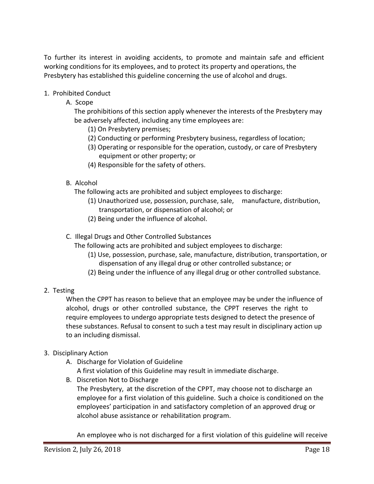To further its interest in avoiding accidents, to promote and maintain safe and efficient working conditions for its employees, and to protect its property and operations, the Presbytery has established this guideline concerning the use of alcohol and drugs.

- 1. Prohibited Conduct
	- A. Scope

The prohibitions of this section apply whenever the interests of the Presbytery may be adversely affected, including any time employees are:

- (1) On Presbytery premises;
- (2) Conducting or performing Presbytery business, regardless of location;
- (3) Operating or responsible for the operation, custody, or care of Presbytery equipment or other property; or
- (4) Responsible for the safety of others.
- B. Alcohol

The following acts are prohibited and subject employees to discharge:

- (1) Unauthorized use, possession, purchase, sale, manufacture, distribution, transportation, or dispensation of alcohol; or
- (2) Being under the influence of alcohol.
- C. Illegal Drugs and Other Controlled Substances

The following acts are prohibited and subject employees to discharge:

- (1) Use, possession, purchase, sale, manufacture, distribution, transportation, or dispensation of any illegal drug or other controlled substance; or
- (2) Being under the influence of any illegal drug or other controlled substance.
- 2. Testing

When the CPPT has reason to believe that an employee may be under the influence of alcohol, drugs or other controlled substance, the CPPT reserves the right to require employees to undergo appropriate tests designed to detect the presence of these substances. Refusal to consent to such a test may result in disciplinary action up to an including dismissal.

- 3. Disciplinary Action
	- A. Discharge for Violation of Guideline
		- A first violation of this Guideline may result in immediate discharge.
	- B. Discretion Not to Discharge

The Presbytery, at the discretion of the CPPT, may choose not to discharge an employee for a first violation of this guideline. Such a choice is conditioned on the employees' participation in and satisfactory completion of an approved drug or alcohol abuse assistance or rehabilitation program.

An employee who is not discharged for a first violation of this guideline will receive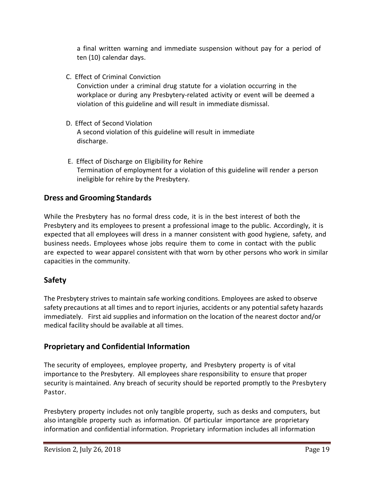a final written warning and immediate suspension without pay for a period of ten (10) calendar days.

C. Effect of Criminal Conviction

Conviction under a criminal drug statute for a violation occurring in the workplace or during any Presbytery-related activity or event will be deemed a violation of this guideline and will result in immediate dismissal.

- D. Effect of Second Violation A second violation of this guideline will result in immediate discharge.
- E. Effect of Discharge on Eligibility for Rehire Termination of employment for a violation of this guideline will render a person ineligible for rehire by the Presbytery.

#### **Dress and Grooming Standards**

While the Presbytery has no formal dress code, it is in the best interest of both the Presbytery and its employees to present a professional image to the public. Accordingly, it is expected that all employees will dress in a manner consistent with good hygiene, safety, and business needs. Employees whose jobs require them to come in contact with the public are expected to wear apparel consistent with that worn by other persons who work in similar capacities in the community.

#### **Safety**

The Presbytery strives to maintain safe working conditions. Employees are asked to observe safety precautions at all times and to report injuries, accidents or any potential safety hazards immediately. First aid supplies and information on the location of the nearest doctor and/or medical facility should be available at all times.

#### **Proprietary and Confidential Information**

The security of employees, employee property, and Presbytery property is of vital importance to the Presbytery. All employees share responsibility to ensure that proper security is maintained. Any breach of security should be reported promptly to the Presbytery Pastor.

Presbytery property includes not only tangible property, such as desks and computers, but also intangible property such as information. Of particular importance are proprietary information and confidential information. Proprietary information includes all information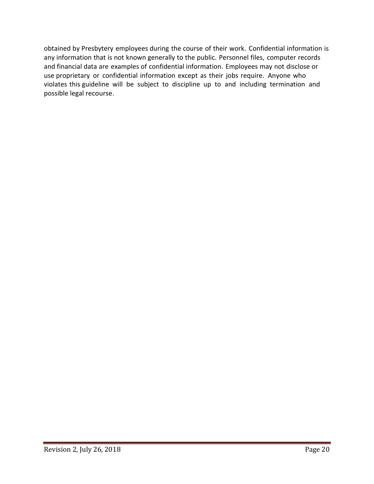obtained by Presbytery employees during the course of their work. Confidential information is any information that is not known generally to the public. Personnel files, computer records and financial data are examples of confidential information. Employees may not disclose or use proprietary or confidential information except as their jobs require. Anyone who violates this guideline will be subject to discipline up to and including termination and possible legal recourse.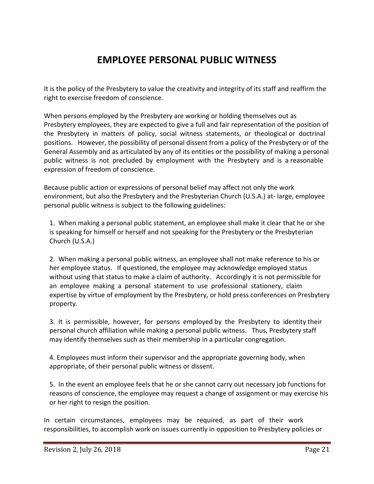## **EMPLOYEE PERSONAL PUBLIC WITNESS**

It is the policy of the Presbytery to value the creativity and integrity of its staff and reaffirm the right to exercise freedom of conscience.

When persons employed by the Presbytery are working or holding themselves out as Presbytery employees, they are expected to give a full and fair representation of the position of the Presbytery in matters of policy, social witness statements, or theological or doctrinal positions. However, the possibility of personal dissent from a policy of the Presbytery or of the General Assembly and as articulated by any of its entities or the possibility of making a personal public witness is not precluded by employment with the Presbytery and is a reasonable expression of freedom of conscience.

Because public action or expressions of personal belief may affect not only the work environment, but also the Presbytery and the Presbyterian Church (U.S.A.) at- large, employee personal public witness is subject to the following guidelines:

1. When making a personal public statement, an employee shall make it clear that he or she is speaking for himself or herself and not speaking for the Presbytery or the Presbyterian Church (U.S.A.)

2. When making a personal public witness, an employee shall not make reference to his or her employee status. If questioned, the employee may acknowledge employed status without using that status to make a claim of authority. Accordingly it is not permissible for an employee making a personal statement to use professional stationery, claim expertise by virtue of employment by the Presbytery, or hold press conferences on Presbytery property.

3. It is permissible, however, for persons employed by the Presbytery to identity their personal church affiliation while making a personal public witness. Thus, Presbytery staff may identify themselves such as their membership in a particular congregation.

4. Employees must inform their supervisor and the appropriate governing body, when appropriate, of their personal public witness or dissent.

5. In the event an employee feels that he or she cannot carry out necessary job functions for reasons of conscience, the employee may request a change of assignment or may exercise his or her right to resign the position.

In certain circumstances, employees may be required, as part of their work responsibilities, to accomplish work on issues currently in opposition to Presbytery policies or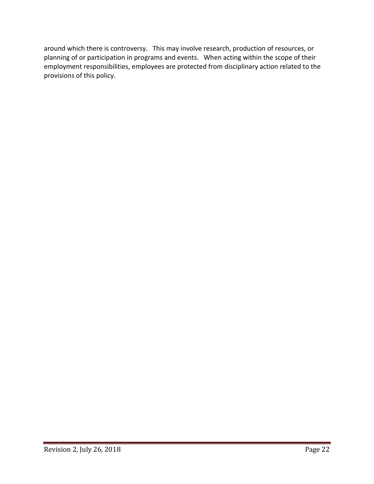around which there is controversy. This may involve research, production of resources, or planning of or participation in programs and events. When acting within the scope of their employment responsibilities, employees are protected from disciplinary action related to the provisions of this policy.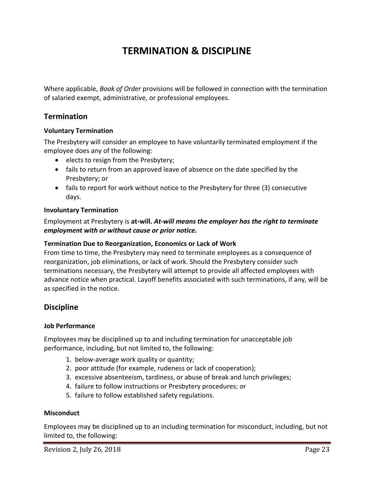## **TERMINATION & DISCIPLINE**

Where applicable, *Book of Order* provisions will be followed in connection with the termination of salaried exempt, administrative, or professional employees.

#### **Termination**

#### **Voluntary Termination**

The Presbytery will consider an employee to have voluntarily terminated employment if the employee does any of the following:

- elects to resign from the Presbytery;
- fails to return from an approved leave of absence on the date specified by the Presbytery; or
- fails to report for work without notice to the Presbytery for three (3) consecutive days.

#### **Involuntary Termination**

Employment at Presbytery is **at-will.** *At-will means the employer has the right to terminate employment with or without cause or prior notice.*

#### **Termination Due to Reorganization, Economics or Lack of Work**

From time to time, the Presbytery may need to terminate employees as a consequence of reorganization, job eliminations, or lack of work. Should the Presbytery consider such terminations necessary, the Presbytery will attempt to provide all affected employees with advance notice when practical. Layoff benefits associated with such terminations, if any, will be as specified in the notice.

#### **Discipline**

#### **Job Performance**

Employees may be disciplined up to and including termination for unacceptable job performance, including, but not limited to, the following:

- 1. below-average work quality or quantity;
- 2. poor attitude (for example, rudeness or lack of cooperation);
- 3. excessive absenteeism, tardiness, or abuse of break and lunch privileges;
- 4. failure to follow instructions or Presbytery procedures; or
- 5. failure to follow established safety regulations.

#### **Misconduct**

Employees may be disciplined up to an including termination for misconduct, including, but not limited to, the following: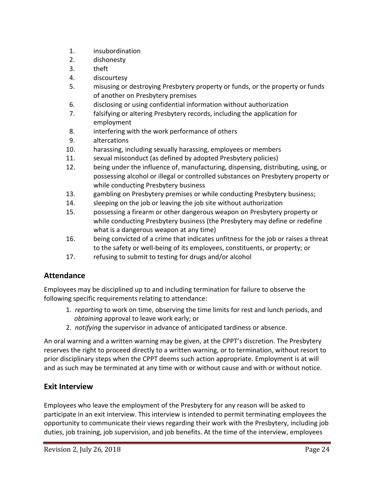- 1. insubordination
- 2. dishonesty
- 3. theft
- 4. discourtesy
- 5. misusing or destroying Presbytery property or funds, or the property or funds of another on Presbytery premises
- 6. disclosing or using confidential information without authorization
- 7. falsifying or altering Presbytery records, including the application for employment
- 8. interfering with the work performance of others
- 9. altercations
- 10. harassing, including sexually harassing, employees or members
- 11. sexual misconduct (as defined by adopted Presbytery policies)
- 12. being under the influence of, manufacturing, dispensing, distributing, using, or possessing alcohol or illegal or controlled substances on Presbytery property or while conducting Presbytery business
- 13. gambling on Presbytery premises or while conducting Presbytery business;
- 14. sleeping on the job or leaving the job site without authorization
- 15. possessing a firearm or other dangerous weapon on Presbytery property or while conducting Presbytery business (the Presbytery may define or redefine what is a dangerous weapon at any time)
- 16. being convicted of a crime that indicates unfitness for the job or raises a threat to the safety or well-being of its employees, constituents, or property; or
- 17. refusing to submit to testing for drugs and/or alcohol

#### **Attendance**

Employees may be disciplined up to and including termination for failure to observe the following specific requirements relating to attendance:

- 1. *reporting* to work on time, observing the time limits for rest and lunch periods, and *obtaining* approval to leave work early; or
- 2. *notifying* the supervisor in advance of anticipated tardiness or absence.

An oral warning and a written warning may be given, at the CPPT's discretion. The Presbytery reserves the right to proceed directly to a written warning, or to termination, without resort to prior disciplinary steps when the CPPT deems such action appropriate. Employment is at will and as such may be terminated at any time with or without cause and with or without notice.

#### **Exit Interview**

Employees who leave the employment of the Presbytery for any reason will be asked to participate in an exit interview. This interview is intended to permit terminating employees the opportunity to communicate their views regarding their work with the Presbytery, including job duties, job training, job supervision, and job benefits. At the time of the interview, employees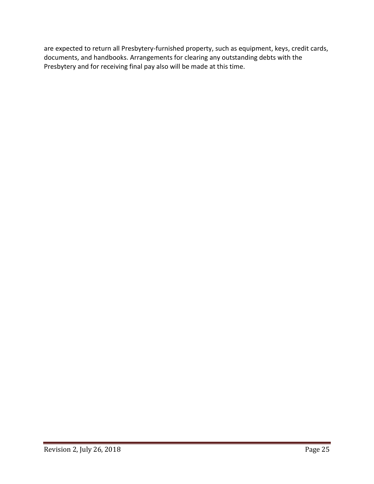are expected to return all Presbytery-furnished property, such as equipment, keys, credit cards, documents, and handbooks. Arrangements for clearing any outstanding debts with the Presbytery and for receiving final pay also will be made at this time.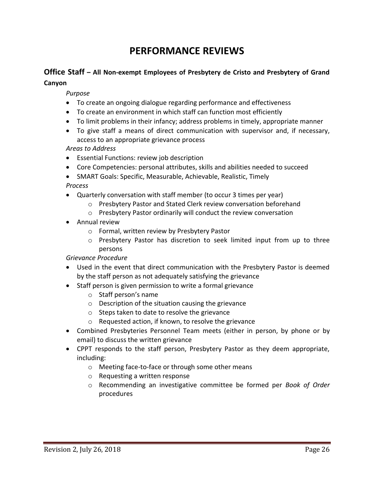## **PERFORMANCE REVIEWS**

## **Office Staff – All Non-exempt Employees of Presbytery de Cristo and Presbytery of Grand**

#### **Canyon**

#### *Purpose*

- To create an ongoing dialogue regarding performance and effectiveness
- To create an environment in which staff can function most efficiently
- To limit problems in their infancy; address problems in timely, appropriate manner
- To give staff a means of direct communication with supervisor and, if necessary, access to an appropriate grievance process

#### *Areas to Address*

- Essential Functions: review job description
- Core Competencies: personal attributes, skills and abilities needed to succeed
- SMART Goals: Specific, Measurable, Achievable, Realistic, Timely

#### *Process*

- Quarterly conversation with staff member (to occur 3 times per year)
	- o Presbytery Pastor and Stated Clerk review conversation beforehand
	- o Presbytery Pastor ordinarily will conduct the review conversation
- Annual review
	- o Formal, written review by Presbytery Pastor
	- o Presbytery Pastor has discretion to seek limited input from up to three persons

#### *Grievance Procedure*

- Used in the event that direct communication with the Presbytery Pastor is deemed by the staff person as not adequately satisfying the grievance
- Staff person is given permission to write a formal grievance
	- o Staff person's name
	- o Description of the situation causing the grievance
	- o Steps taken to date to resolve the grievance
	- o Requested action, if known, to resolve the grievance
- Combined Presbyteries Personnel Team meets (either in person, by phone or by email) to discuss the written grievance
- CPPT responds to the staff person, Presbytery Pastor as they deem appropriate, including:
	- o Meeting face-to-face or through some other means
	- o Requesting a written response
	- o Recommending an investigative committee be formed per *Book of Order* procedures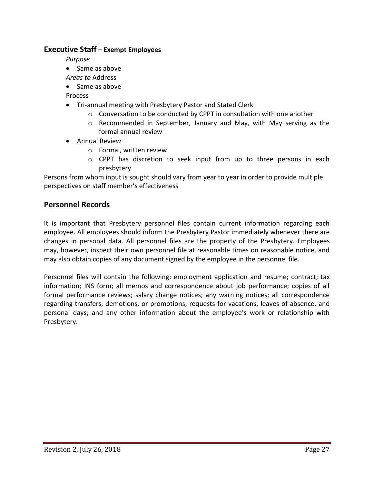#### **Executive Staff – Exempt Employees**

*Purpose*

- Same as above
- *Areas to* Address
- Same as above

Process

- Tri-annual meeting with Presbytery Pastor and Stated Clerk
	- o Conversation to be conducted by CPPT in consultation with one another
	- $\circ$  Recommended in September, January and May, with May serving as the formal annual review
- Annual Review
	- o Formal, written review
	- $\circ$  CPPT has discretion to seek input from up to three persons in each presbytery

Persons from whom input is sought should vary from year to year in order to provide multiple perspectives on staff member's effectiveness

#### **Personnel Records**

It is important that Presbytery personnel files contain current information regarding each employee. All employees should inform the Presbytery Pastor immediately whenever there are changes in personal data. All personnel files are the property of the Presbytery. Employees may, however, inspect their own personnel file at reasonable times on reasonable notice, and may also obtain copies of any document signed by the employee in the personnel file.

Personnel files will contain the following: employment application and resume; contract; tax information; INS form; all memos and correspondence about job performance; copies of all formal performance reviews; salary change notices; any warning notices; all correspondence regarding transfers, demotions, or promotions; requests for vacations, leaves of absence, and personal days; and any other information about the employee's work or relationship with Presbytery.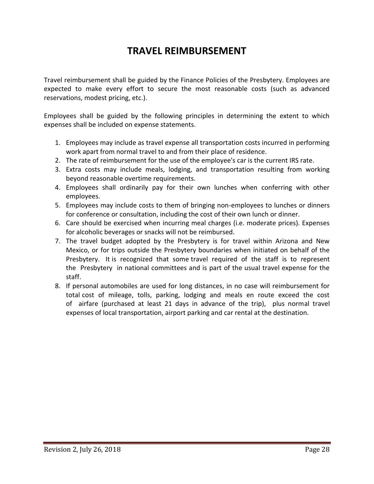## **TRAVEL REIMBURSEMENT**

Travel reimbursement shall be guided by the Finance Policies of the Presbytery. Employees are expected to make every effort to secure the most reasonable costs (such as advanced reservations, modest pricing, etc.).

Employees shall be guided by the following principles in determining the extent to which expenses shall be included on expense statements.

- 1. Employees may include as travel expense all transportation costs incurred in performing work apart from normal travel to and from their place of residence.
- 2. The rate of reimbursement for the use of the employee's car is the current IRS rate.
- 3. Extra costs may include meals, lodging, and transportation resulting from working beyond reasonable overtime requirements.
- 4. Employees shall ordinarily pay for their own lunches when conferring with other employees.
- 5. Employees may include costs to them of bringing non-employees to lunches or dinners for conference or consultation, including the cost of their own lunch or dinner.
- 6. Care should be exercised when incurring meal charges (i.e. moderate prices). Expenses for alcoholic beverages or snacks will not be reimbursed.
- 7. The travel budget adopted by the Presbytery is for travel within Arizona and New Mexico, or for trips outside the Presbytery boundaries when initiated on behalf of the Presbytery. It is recognized that some travel required of the staff is to represent the Presbytery in national committees and is part of the usual travel expense for the staff.
- 8. If personal automobiles are used for long distances, in no case will reimbursement for total cost of mileage, tolls, parking, lodging and meals en route exceed the cost of airfare (purchased at least 21 days in advance of the trip), plus normal travel expenses of local transportation, airport parking and car rental at the destination.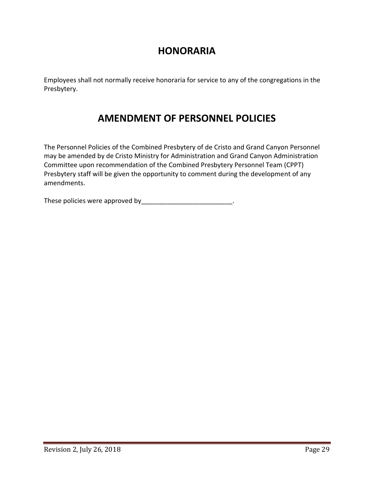### **HONORARIA**

Employees shall not normally receive honoraria for service to any of the congregations in the Presbytery.

## **AMENDMENT OF PERSONNEL POLICIES**

The Personnel Policies of the Combined Presbytery of de Cristo and Grand Canyon Personnel may be amended by de Cristo Ministry for Administration and Grand Canyon Administration Committee upon recommendation of the Combined Presbytery Personnel Team (CPPT) Presbytery staff will be given the opportunity to comment during the development of any amendments.

These policies were approved by \_\_\_\_\_\_\_\_\_\_\_\_\_\_\_\_\_\_\_\_\_\_\_\_\_\_\_\_\_\_.